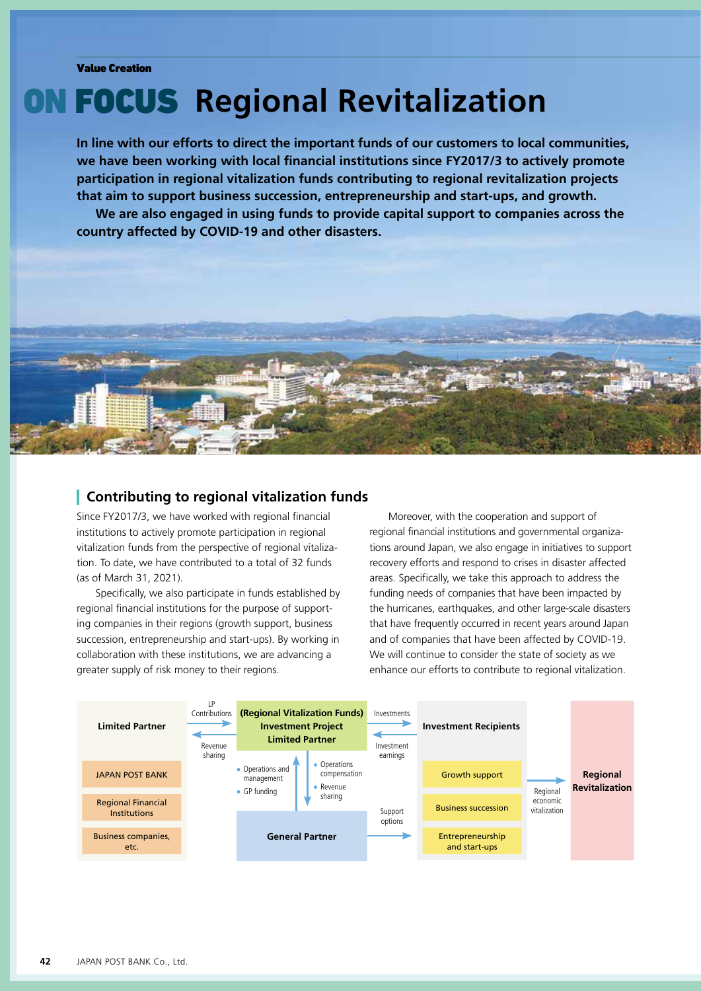# ON FOCUS **Regional Revitalization**

**In line with our efforts to direct the important funds of our customers to local communities, we have been working with local financial institutions since FY2017/3 to actively promote participation in regional vitalization funds contributing to regional revitalization projects that aim to support business succession, entrepreneurship and start-ups, and growth.**

**We are also engaged in using funds to provide capital support to companies across the country affected by COVID-19 and other disasters.**



### **Contributing to regional vitalization funds**

Since FY2017/3, we have worked with regional financial institutions to actively promote participation in regional vitalization funds from the perspective of regional vitalization. To date, we have contributed to a total of 32 funds (as of March 31, 2021).

Specifically, we also participate in funds established by regional financial institutions for the purpose of supporting companies in their regions (growth support, business succession, entrepreneurship and start-ups). By working in collaboration with these institutions, we are advancing a greater supply of risk money to their regions.

Moreover, with the cooperation and support of regional financial institutions and governmental organizations around Japan, we also engage in initiatives to support recovery efforts and respond to crises in disaster affected areas. Specifically, we take this approach to address the funding needs of companies that have been impacted by the hurricanes, earthquakes, and other large-scale disasters that have frequently occurred in recent years around Japan and of companies that have been affected by COVID-19. We will continue to consider the state of society as we enhance our efforts to contribute to regional vitalization.